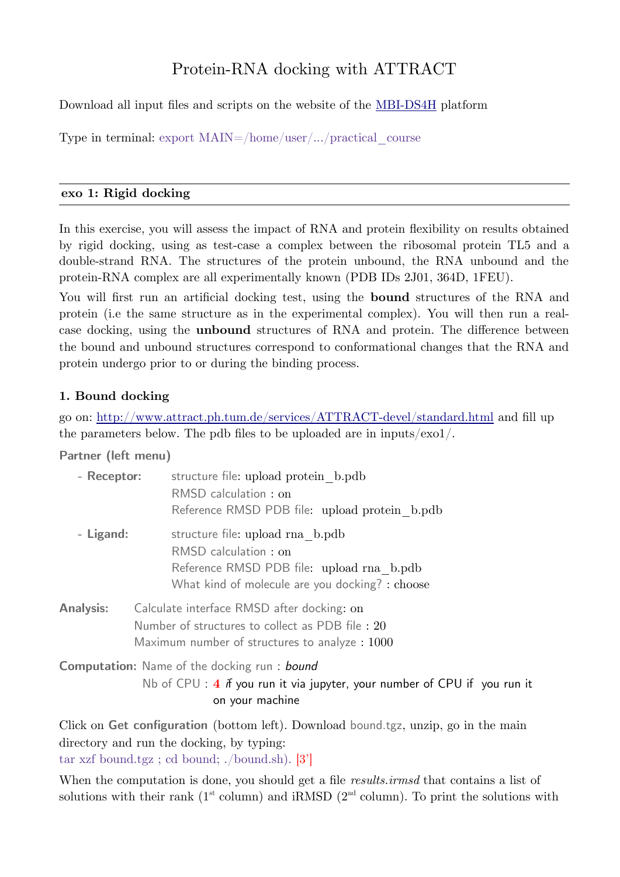# Protein-RNA docking with ATTRACT

Download all input files and scripts on the website of the [MBI-DS4H](https://mbi.loria.fr/) platform

Type in terminal: export  $\text{MAIN}=\text{/home}/\text{user}/\text{...}/\text{practical}$  course

#### **exo 1: Rigid docking**

In this exercise, you will assess the impact of RNA and protein flexibility on results obtained by rigid docking, using as test-case a complex between the ribosomal protein TL5 and a double-strand RNA. The structures of the protein unbound, the RNA unbound and the protein-RNA complex are all experimentally known (PDB IDs 2J01, 364D, 1FEU).

You will first run an artificial docking test, using the **bound** structures of the RNA and protein (i.e the same structure as in the experimental complex). You will then run a realcase docking, using the **unbound** structures of RNA and protein. The difference between the bound and unbound structures correspond to conformational changes that the RNA and protein undergo prior to or during the binding process.

## **1. Bound docking**

go on: <http://www.attract.ph.tum.de/services/ATTRACT-devel/standard.html> and fill up the parameters below. The pdb files to be uploaded are in inputs/exo1/.

**Partner (left menu)**

| - Receptor:      | structure file: upload protein b.pdb<br>RMSD calculation: on<br>Reference RMSD PDB file: upload protein b.pdb                                            |
|------------------|----------------------------------------------------------------------------------------------------------------------------------------------------------|
| - Ligand:        | structure file: upload rna b.pdb<br>RMSD calculation: on<br>Reference RMSD PDB file: upload rna b.pdb<br>What kind of molecule are you docking? : choose |
| <b>Analysis:</b> | Calculate interface RMSD after docking: on<br>Number of structures to collect as PDB file: 20<br>Maximum number of structures to analyze: 1000           |
|                  | <b>Computation:</b> Name of the docking run: bound<br>Nb of CPU : $4$ if you run it via jupyter, your number of CPU if you run it<br>on your machine     |

Click on **Get configuration** (bottom left). Download bound.tgz, unzip, go in the main directory and run the docking, by typing: tar xzf bound.tgz ; cd bound; ./bound.sh). [3']

When the computation is done, you should get a file *results.irmsd* that contains a list of solutions with their rank  $(1<sup>st</sup> column)$  and iRMSD  $(2<sup>nd</sup> column)$ . To print the solutions with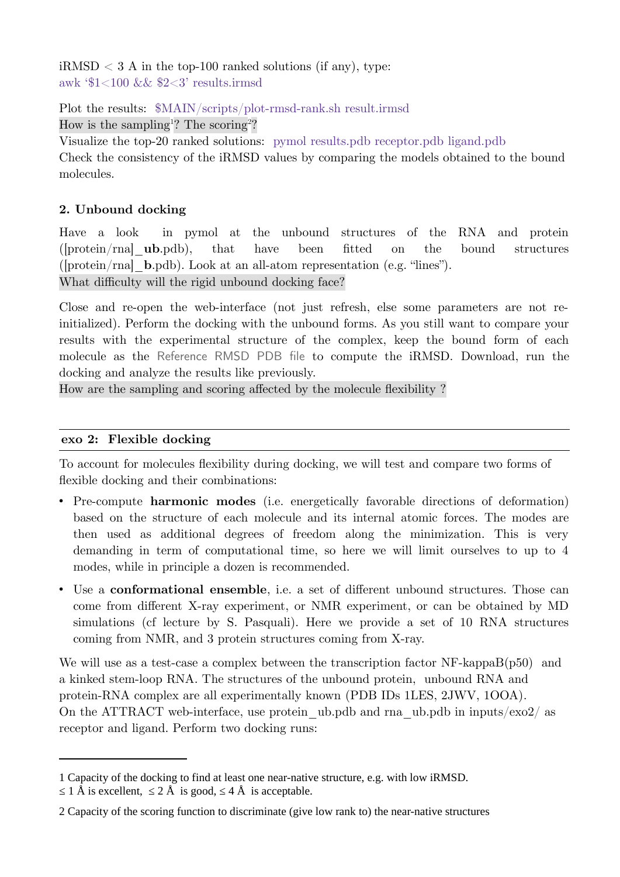$iRMSD < 3$  A in the top-100 ranked solutions (if any), type: awk '\$1<100 && \$2<3' results.irmsd

Plot the results: \$MAIN/scripts/plot-rmsd-rank.sh result.irmsd

How is the sampling<sup>[1](#page-1-0)</sup>? The scoring<sup>[2](#page-1-1)</sup>?

Visualize the top-20 ranked solutions: pymol results.pdb receptor.pdb ligand.pdb Check the consistency of the iRMSD values by comparing the models obtained to the bound molecules.

# **2. Unbound docking**

Have a look in pymol at the unbound structures of the RNA and protein ([protein/rna]\_**ub**.pdb), that have been fitted on the bound structures ([protein/rna]\_**b**.pdb). Look at an all-atom representation (e.g. "lines"). What difficulty will the rigid unbound docking face?

Close and re-open the web-interface (not just refresh, else some parameters are not reinitialized). Perform the docking with the unbound forms. As you still want to compare your results with the experimental structure of the complex, keep the bound form of each molecule as the Reference RMSD PDB file to compute the iRMSD. Download, run the docking and analyze the results like previously.

How are the sampling and scoring affected by the molecule flexibility ?

# **exo 2: Flexible docking**

To account for molecules flexibility during docking, we will test and compare two forms of flexible docking and their combinations:

- Pre-compute **harmonic modes** (i.e. energetically favorable directions of deformation) based on the structure of each molecule and its internal atomic forces. The modes are then used as additional degrees of freedom along the minimization. This is very demanding in term of computational time, so here we will limit ourselves to up to 4 modes, while in principle a dozen is recommended.
- Use a **conformational ensemble**, i.e. a set of different unbound structures. Those can come from different X-ray experiment, or NMR experiment, or can be obtained by MD simulations (cf lecture by S. Pasquali). Here we provide a set of 10 RNA structures coming from NMR, and 3 protein structures coming from X-ray.

We will use as a test-case a complex between the transcription factor  $NF$ -kappaB $(p50)$  and a kinked stem-loop RNA. The structures of the unbound protein, unbound RNA and protein-RNA complex are all experimentally known (PDB IDs 1LES, 2JWV, 1OOA). On the ATTRACT web-interface, use protein ub.pdb and rna\_ub.pdb in inputs/exo2/ as receptor and ligand. Perform two docking runs:

<span id="page-1-0"></span><sup>1</sup> Capacity of the docking to find at least one near-native structure, e.g. with low iRMSD.

 $\leq 1$  Å is excellent,  $\leq 2$  Å is good,  $\leq 4$  Å is acceptable.

<span id="page-1-1"></span><sup>2</sup> Capacity of the scoring function to discriminate (give low rank to) the near-native structures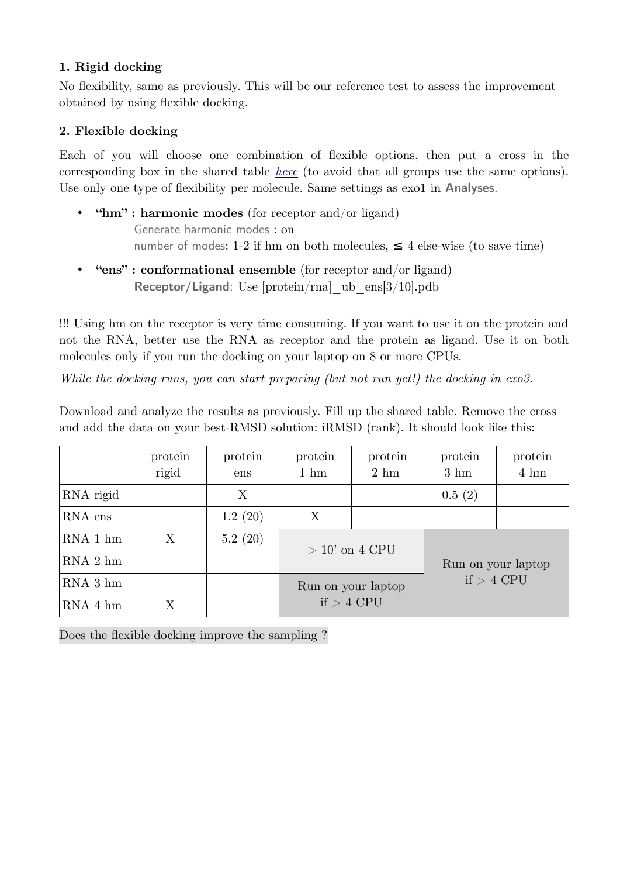## **1. Rigid docking**

No flexibility, same as previously. This will be our reference test to assess the improvement obtained by using flexible docking.

# **2. Flexible docking**

Each of you will choose one combination of flexible options, then put a cross in the corresponding box in the shared table *[here](https://docs.google.com/spreadsheets/d/1qj7v-P5C8bddM5CHeZuk36kaQDNev9g-aK5-l6tdyw8/edit?usp=sharing)* (to avoid that all groups use the same options). Use only one type of flexibility per molecule. Same settings as exo1 in **Analyses**.

- **"hm" : harmonic modes** (for receptor and/or ligand) Generate harmonic modes : on number of modes: 1-2 if hm on both molecules,  $\leq 4$  else-wise (to save time)
- **"ens" : conformational ensemble** (for receptor and/or ligand) **Receptor/Ligand**: Use [protein/rna] ub\_ens[3/10].pdb

!!! Using hm on the receptor is very time consuming. If you want to use it on the protein and not the RNA, better use the RNA as receptor and the protein as ligand. Use it on both molecules only if you run the docking on your laptop on 8 or more CPUs.

*While the docking runs, you can start preparing (but not run yet!) the docking in exo3.*

Download and analyze the results as previously. Fill up the shared table. Remove the cross and add the data on your best-RMSD solution: iRMSD (rank). It should look like this:

|           | protein<br>rigid | protein<br>ens | protein<br>$1 \text{ hm}$ | protein<br>$2 \text{ hm}$ | protein<br>$3 \text{ hm}$          | protein<br>$4 \text{ hm}$ |
|-----------|------------------|----------------|---------------------------|---------------------------|------------------------------------|---------------------------|
| RNA rigid |                  | X              |                           |                           | 0.5(2)                             |                           |
| RNA ens   |                  | 1.2(20)        | X                         |                           |                                    |                           |
| RNA 1 hm  | X                | 5.2(20)        | $>10'$ on 4 CPU           |                           | Run on your laptop<br>$if > 4$ CPU |                           |
| $RNA2$ hm |                  |                |                           |                           |                                    |                           |
| $RNA3$ hm |                  |                | Run on your laptop        |                           |                                    |                           |
| RNA 4 hm  | Χ                |                | $if > 4$ CPU              |                           |                                    |                           |

Does the flexible docking improve the sampling ?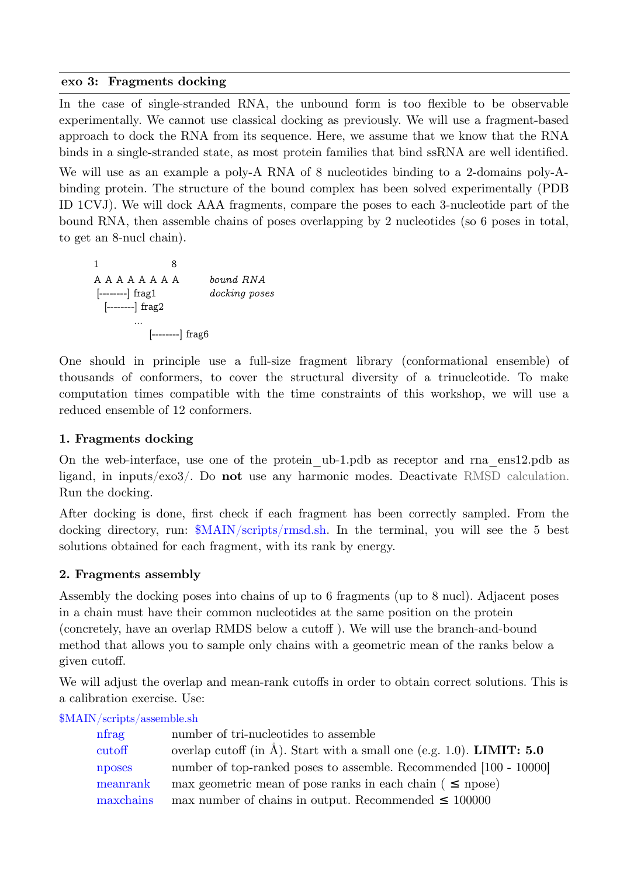#### **exo 3: Fragments docking**

In the case of single-stranded RNA, the unbound form is too flexible to be observable experimentally. We cannot use classical docking as previously. We will use a fragment-based approach to dock the RNA from its sequence. Here, we assume that we know that the RNA binds in a single-stranded state, as most protein families that bind ssRNA are well identified. We will use as an example a poly-A RNA of 8 nucleotides binding to a 2-domains poly-Abinding protein. The structure of the bound complex has been solved experimentally (PDB ID 1CVJ). We will dock AAA fragments, compare the poses to each 3-nucleotide part of the bound RNA, then assemble chains of poses overlapping by 2 nucleotides (so 6 poses in total, to get an 8-nucl chain).

 1 8 A A A A A A A A *bound RNA* [--------] frag1 *docking poses* [--------] frag2 ... [--------] frag6

One should in principle use a full-size fragment library (conformational ensemble) of thousands of conformers, to cover the structural diversity of a trinucleotide. To make computation times compatible with the time constraints of this workshop, we will use a reduced ensemble of 12 conformers.

## **1. Fragments docking**

On the web-interface, use one of the protein\_ub-1.pdb as receptor and rna\_ens12.pdb as ligand, in inputs/exo3/. Do **not** use any harmonic modes. Deactivate RMSD calculation. Run the docking.

After docking is done, first check if each fragment has been correctly sampled. From the docking directory, run: \$MAIN/scripts/rmsd.sh. In the terminal, you will see the 5 best solutions obtained for each fragment, with its rank by energy.

## **2. Fragments assembly**

Assembly the docking poses into chains of up to 6 fragments (up to 8 nucl). Adjacent poses in a chain must have their common nucleotides at the same position on the protein (concretely, have an overlap RMDS below a cutoff ). We will use the branch-and-bound method that allows you to sample only chains with a geometric mean of the ranks below a given cutoff.

We will adjust the overlap and mean-rank cutoffs in order to obtain correct solutions. This is a calibration exercise. Use:

\$MAIN/scripts/assemble.sh

| nfrag     | number of tri-nucleotides to assemble                                            |
|-----------|----------------------------------------------------------------------------------|
| cutoff    | overlap cutoff (in $\AA$ ). Start with a small one (e.g. 1.0). <b>LIMIT: 5.0</b> |
| nposes    | number of top-ranked poses to assemble. Recommended [100 - 10000]                |
| meanrank  | max geometric mean of pose ranks in each chain ( $\leq$ npose)                   |
| maxchains | max number of chains in output. Recommended $\leq$ 100000                        |